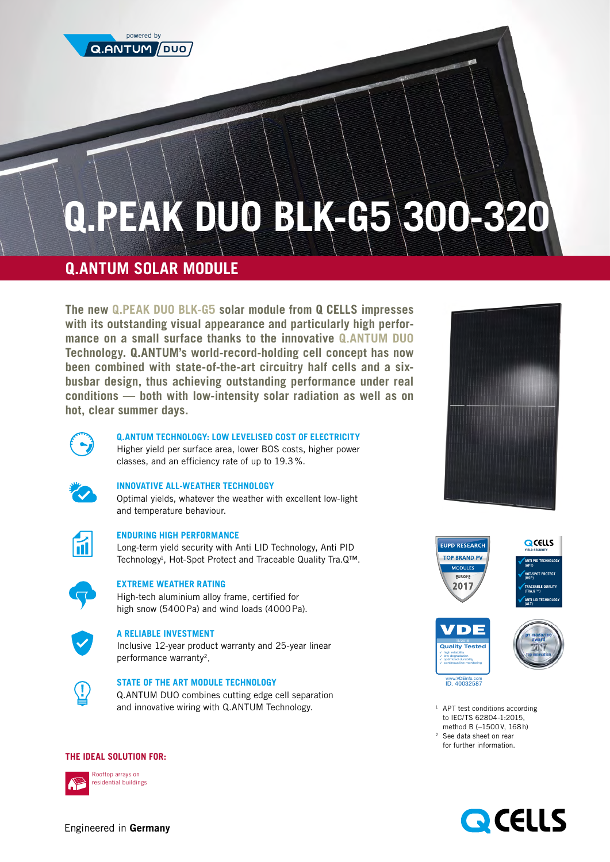

# **Q.PEAK DUO BLK-G5 300-320**

## **Q.ANTUM SOLAR MODULE**

**The new Q.PEAK DUO BLK-G5 solar module from Q CELLS impresses with its outstanding visual appearance and particularly high performance on a small surface thanks to the innovative Q.ANTUM DUO Technology. Q.ANTUM's world-record-holding cell concept has now been combined with state-of-the-art circuitry half cells and a sixbusbar design, thus achieving outstanding performance under real conditions — both with low-intensity solar radiation as well as on hot, clear summer days.**









<sup>1</sup> APT test conditions according to IEC/TS 62804-1:2015, method B (−1500V, 168h) <sup>2</sup> See data sheet on rear for further information.



#### **Q.ANTUM TECHNOLOGY: LOW LEVELISED COST OF ELECTRICITY**

Higher yield per surface area, lower BOS costs, higher power classes, and an efficiency rate of up to 19.3%.



### **INNOVATIVE ALL-WEATHER TECHNOLOGY**

Optimal yields, whatever the weather with excellent low-light and temperature behaviour.



#### **ENDURING HIGH PERFORMANCE**

Long-term yield security with Anti LID Technology, Anti PID Technology<sup>1</sup>, Hot-Spot Protect and Traceable Quality Tra.Q™.



#### **EXTREME WEATHER RATING**

High-tech aluminium alloy frame, certified for high snow (5400Pa) and wind loads (4000Pa).



#### **A RELIABLE INVESTMENT**

Inclusive 12-year product warranty and 25-year linear performance warranty2.



### **STATE OF THE ART MODULE TECHNOLOGY**

Q.ANTUM DUO combines cutting edge cell separation and innovative wiring with Q.ANTUM Technology.

#### **THE IDEAL SOLUTION FOR:**



Rooftop arrays on residential buildings